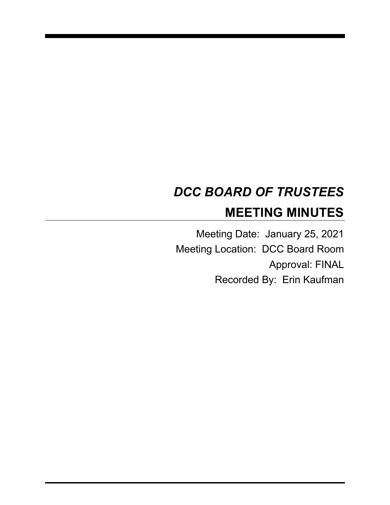# *DCC BOARD OF TRUSTEES* **MEETING MINUTES**

Meeting Date: January 25, 2021 Meeting Location: DCC Board Room Approval: FINAL Recorded By: Erin Kaufman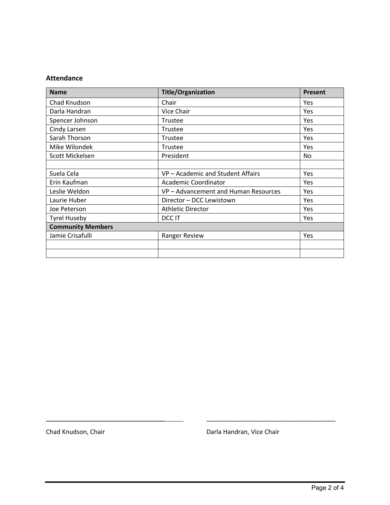## **Attendance**

| <b>Name</b>              | <b>Title/Organization</b>          | <b>Present</b> |
|--------------------------|------------------------------------|----------------|
| Chad Knudson             | Chair                              | Yes            |
| Darla Handran            | Vice Chair                         | <b>Yes</b>     |
| Spencer Johnson          | Trustee                            | Yes            |
| Cindy Larsen             | Trustee                            | Yes            |
| Sarah Thorson            | Trustee                            | Yes            |
| Mike Wilondek            | Trustee                            | Yes            |
| Scott Mickelsen          | President                          | No.            |
|                          |                                    |                |
| Suela Cela               | VP - Academic and Student Affairs  | <b>Yes</b>     |
| Erin Kaufman             | <b>Academic Coordinator</b>        | <b>Yes</b>     |
| Leslie Weldon            | VP-Advancement and Human Resources | <b>Yes</b>     |
| Laurie Huber             | Director - DCC Lewistown           | Yes            |
| Joe Peterson             | <b>Athletic Director</b>           | Yes            |
| <b>Tyrel Huseby</b>      | DCC IT                             | Yes            |
| <b>Community Members</b> |                                    |                |
| Jamie Crisafulli         | Ranger Review                      | Yes            |
|                          |                                    |                |
|                          |                                    |                |

\_\_\_\_\_\_\_\_\_\_\_\_\_\_\_\_\_\_\_\_\_\_\_\_\_\_\_\_\_\_\_\_\_\_ \_\_\_\_\_\_\_\_\_\_\_\_\_\_\_\_\_\_\_\_\_\_\_\_\_\_\_\_\_\_\_\_\_\_\_\_\_

Chad Knudson, Chair **Darla Handran, Vice Chair** Darla Handran, Vice Chair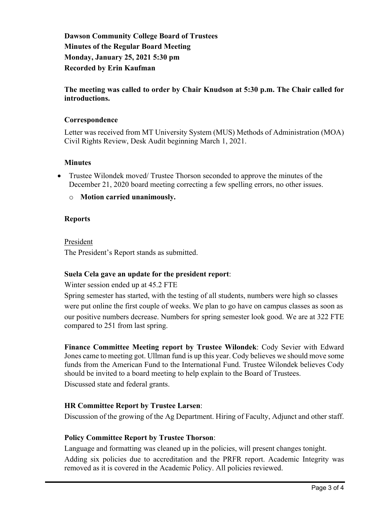**Dawson Community College Board of Trustees Minutes of the Regular Board Meeting Monday, January 25, 2021 5:30 pm Recorded by Erin Kaufman**

**The meeting was called to order by Chair Knudson at 5:30 p.m. The Chair called for introductions.**

#### **Correspondence**

Letter was received from MT University System (MUS) Methods of Administration (MOA) Civil Rights Review, Desk Audit beginning March 1, 2021.

#### **Minutes**

• Trustee Wilondek moved/ Trustee Thorson seconded to approve the minutes of the December 21, 2020 board meeting correcting a few spelling errors, no other issues.

o **Motion carried unanimously.**

#### **Reports**

President

The President's Report stands as submitted.

#### **Suela Cela gave an update for the president report**:

Winter session ended up at 45.2 FTE

Spring semester has started, with the testing of all students, numbers were high so classes were put online the first couple of weeks. We plan to go have on campus classes as soon as our positive numbers decrease. Numbers for spring semester look good. We are at 322 FTE compared to 251 from last spring.

**Finance Committee Meeting report by Trustee Wilondek**: Cody Sevier with Edward Jones came to meeting got. Ullman fund is up this year. Cody believes we should move some funds from the American Fund to the International Fund. Trustee Wilondek believes Cody should be invited to a board meeting to help explain to the Board of Trustees. Discussed state and federal grants.

#### **HR Committee Report by Trustee Larsen**:

Discussion of the growing of the Ag Department. Hiring of Faculty, Adjunct and other staff.

#### **Policy Committee Report by Trustee Thorson**:

Language and formatting was cleaned up in the policies, will present changes tonight. Adding six policies due to accreditation and the PRFR report. Academic Integrity was removed as it is covered in the Academic Policy. All policies reviewed.